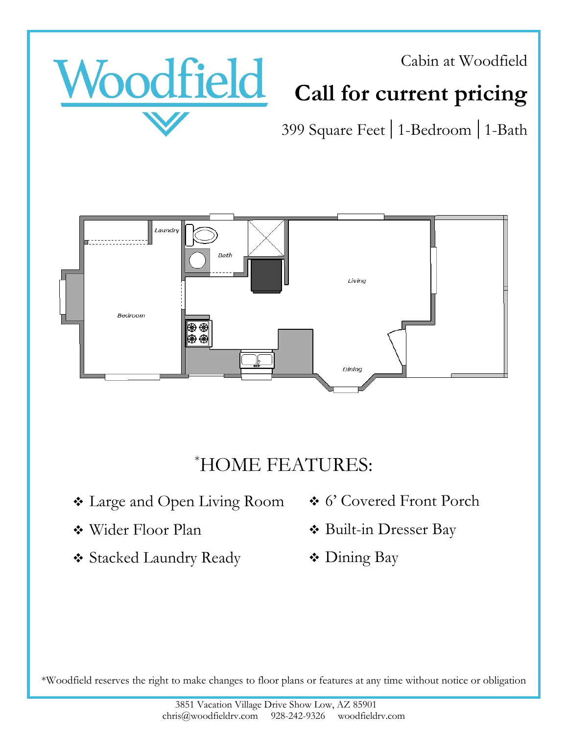



# **Call for current pricing**

399 Square Feet 1-Bedroom 1-Bath



#### \*HOME FEATURES:

- ❖ Large and Open Living Room
- ❖ Wider Floor Plan
- ❖ Stacked Laundry Ready
- ❖ 6' Covered Front Porch
- ❖ Built-in Dresser Bay
- ❖ Dining Bay

\*Woodfield reserves the right to make changes to floor plans or features at any time without notice or obligation